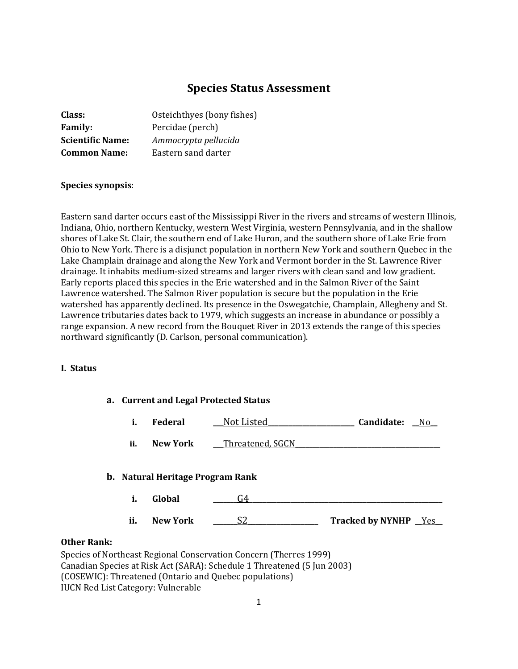# **Species Status Assessment**

| Class:                  | Osteichthyes (bony fishes) |
|-------------------------|----------------------------|
| <b>Family:</b>          | Percidae (perch)           |
| <b>Scientific Name:</b> | Ammocrypta pellucida       |
| <b>Common Name:</b>     | Eastern sand darter        |

#### **Species synopsis**:

Eastern sand darter occurs east of the Mississippi River in the rivers and streams of western Illinois, Indiana, Ohio, northern Kentucky, western West Virginia, western Pennsylvania, and in the shallow shores of Lake St. Clair, the southern end of Lake Huron, and the southern shore of Lake Erie from Ohio to New York. There is a disjunct population in northern New York and southern Quebec in the Lake Champlain drainage and along the New York and Vermont border in the St. Lawrence River drainage. It inhabits medium-sized streams and larger rivers with clean sand and low gradient. Early reports placed this species in the Erie watershed and in the Salmon River of the Saint Lawrence watershed. The Salmon River population is secure but the population in the Erie watershed has apparently declined. Its presence in the Oswegatchie, Champlain, Allegheny and St. Lawrence tributaries dates back to 1979, which suggests an increase in abundance or possibly a range expansion. A new record from the Bouquet River in 2013 extends the range of this species northward significantly (D. Carlson, personal communication).

#### **I. Status**

|            | a. Current and Legal Protected Status |                                  |                  |                             |  |
|------------|---------------------------------------|----------------------------------|------------------|-----------------------------|--|
|            | i.                                    | <b>Federal</b>                   | Not Listed_      | Candidate:<br>- No          |  |
|            | ii.                                   | <b>New York</b>                  | Threatened, SGCN |                             |  |
|            |                                       | b. Natural Heritage Program Rank |                  |                             |  |
|            | i.                                    | Global                           | G4               |                             |  |
|            | ii.                                   | <b>New York</b>                  | S2               | <b>Tracked by NYNHP</b> Yes |  |
| $\sim$ -1. |                                       |                                  |                  |                             |  |

#### **Other Rank:**

Species of Northeast Regional Conservation Concern (Therres 1999) Canadian Species at Risk Act (SARA): Schedule 1 Threatened (5 Jun 2003) (COSEWIC): Threatened (Ontario and Quebec populations) IUCN Red List Category: Vulnerable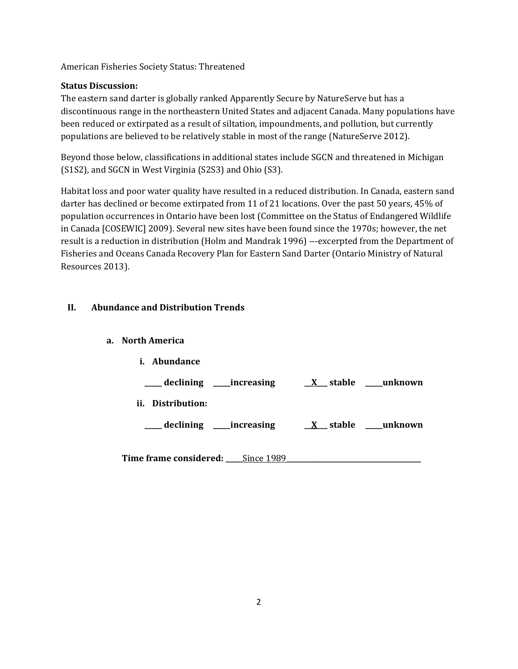American Fisheries Society Status: Threatened

## **Status Discussion:**

The eastern sand darter is globally ranked Apparently Secure by NatureServe but has a discontinuous range in the northeastern United States and adjacent Canada. Many populations have been reduced or extirpated as a result of siltation, impoundments, and pollution, but currently populations are believed to be relatively stable in most of the range (NatureServe 2012).

Beyond those below, classifications in additional states include SGCN and threatened in Michigan (S1S2), and SGCN in West Virginia (S2S3) and Ohio (S3).

Habitat loss and poor water quality have resulted in a reduced distribution. In Canada, eastern sand darter has declined or become extirpated from 11 of 21 locations. Over the past 50 years, 45% of population occurrences in Ontario have been lost (Committee on the Status of Endangered Wildlife in Canada [COSEWIC] 2009). Several new sites have been found since the 1970s; however, the net result is a reduction in distribution (Holm and Mandrak 1996) ---excerpted from the Department of Fisheries and Oceans Canada Recovery Plan for Eastern Sand Darter (Ontario Ministry of Natural Resources 2013).

## **II. Abundance and Distribution Trends**

### **a. North America**

| i.  | Abundance     |                           |                  |
|-----|---------------|---------------------------|------------------|
|     |               | _declining ____increasing | X stable unknown |
| ii. | Distribution: |                           |                  |
|     |               | declining _____increasing | X stable unknown |
|     |               |                           |                  |

**Time frame considered: \_\_\_\_\_**Since 1989**\_\_\_\_\_\_\_\_\_\_\_\_\_\_\_\_\_\_\_\_\_\_\_\_\_\_\_\_\_\_\_\_\_\_\_\_\_\_\_**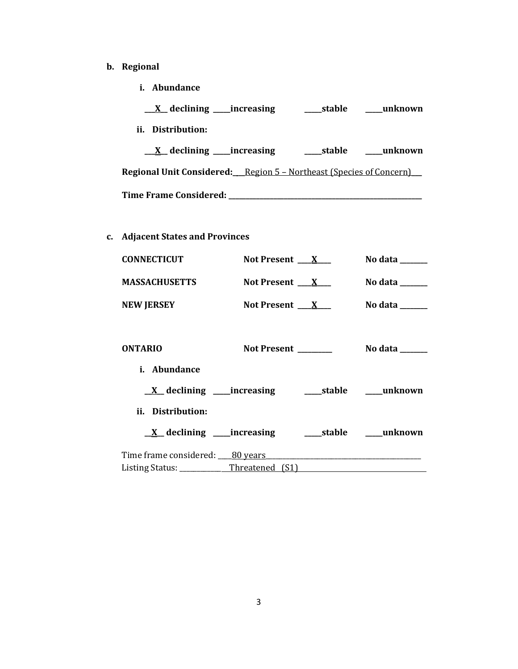# **b. Regional**

**i. Abundance**

| $\underline{X}$ declining _____increasing                                  | stable | unknown        |
|----------------------------------------------------------------------------|--------|----------------|
| ii. Distribution:                                                          |        |                |
| $X$ declining increasing                                                   |        | stable unknown |
| <b>Regional Unit Considered:</b> Region 5 - Northeast (Species of Concern) |        |                |
| Time Frame Considered: ______________                                      |        |                |

# **c. Adjacent States and Provinces**

| <b>CONNECTICUT</b>                                                      | Not Present $X_{-}$ | No data $\frac{1}{\sqrt{1-\frac{1}{2}}\cdot\frac{1}{\sqrt{1-\frac{1}{2}}}}$ |
|-------------------------------------------------------------------------|---------------------|-----------------------------------------------------------------------------|
| <b>MASSACHUSETTS</b>                                                    | Not Present $X_{-}$ | No data $\_\_$                                                              |
| <b>NEW JERSEY</b>                                                       | Not Present $X_{-}$ | No data $\_\_\_\_\_\_\_\_\_\_\_\_\$                                         |
| <b>ONTARIO</b><br>i. Abundance                                          |                     |                                                                             |
| $\underline{X}$ declining ____increasing __________stable ______unknown |                     |                                                                             |
| ii. Distribution:                                                       |                     |                                                                             |
| <u>X</u> declining ____increasing _______stable _____unknown            |                     |                                                                             |
|                                                                         |                     |                                                                             |
| Listing Status: ____________Threatened (S1)                             |                     |                                                                             |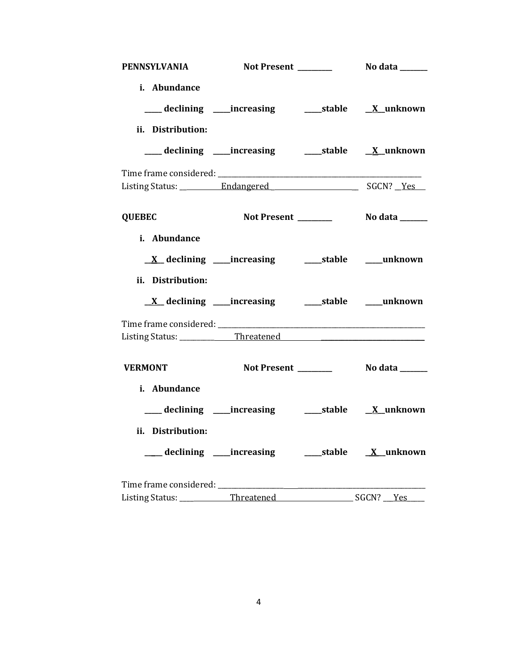| <b>PENNSYLVANIA</b>                      |                                                                 |                            |
|------------------------------------------|-----------------------------------------------------------------|----------------------------|
| i. Abundance                             | ___ declining ____increasing ______stable _____X_unknown        |                            |
| ii. Distribution:                        |                                                                 |                            |
|                                          |                                                                 |                            |
|                                          |                                                                 |                            |
|                                          |                                                                 |                            |
| <b>QUEBEC</b>                            |                                                                 |                            |
| i. Abundance                             |                                                                 |                            |
|                                          | <u>X</u> declining ____increasing __________stable _____unknown |                            |
| ii. Distribution:                        |                                                                 |                            |
|                                          |                                                                 |                            |
|                                          |                                                                 |                            |
| Listing Status: ______________Threatened |                                                                 |                            |
| <b>VERMONT</b>                           | Not Present __________    No data _______                       |                            |
| i. Abundance                             |                                                                 |                            |
|                                          |                                                                 |                            |
| ii. Distribution:                        |                                                                 |                            |
|                                          |                                                                 |                            |
|                                          |                                                                 |                            |
| Listing Status: ___________Threatened    |                                                                 | $SGCN? \; \underline{Yes}$ |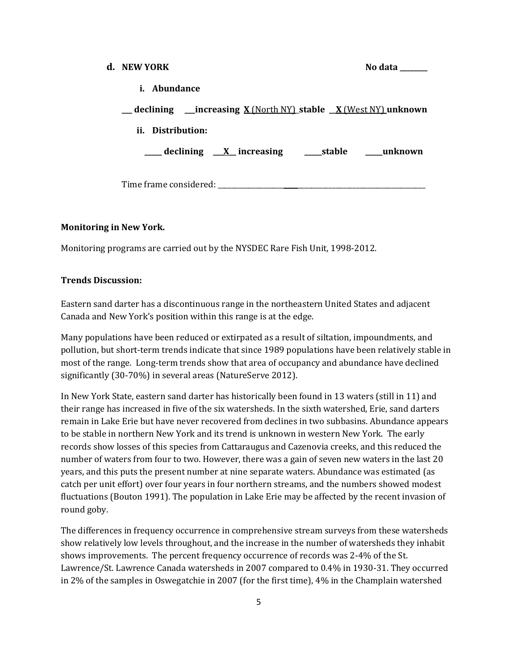#### **d.** NEW YORK

|  | No data |  |
|--|---------|--|
|--|---------|--|

|  | <b>Abundance</b> |  |
|--|------------------|--|
|--|------------------|--|

| <u>__</u> declining ___increasing <u>X (North NY)</u> stable _ <u>X (West NY)</u> unknown |        |         |
|-------------------------------------------------------------------------------------------|--------|---------|
| ii. Distribution:                                                                         |        |         |
| $\equiv$ declining $\frac{X}{Y}$ increasing                                               | stable | unknown |
| Time frame considered:                                                                    |        |         |

### **Monitoring in New York.**

Monitoring programs are carried out by the NYSDEC Rare Fish Unit, 1998-2012.

### **Trends Discussion:**

Eastern sand darter has a discontinuous range in the northeastern United States and adjacent Canada and New York's position within this range is at the edge.

Many populations have been reduced or extirpated as a result of siltation, impoundments, and pollution, but short-term trends indicate that since 1989 populations have been relatively stable in most of the range. Long-term trends show that area of occupancy and abundance have declined significantly (30-70%) in several areas (NatureServe 2012).

In New York State, eastern sand darter has historically been found in 13 waters (still in 11) and their range has increased in five of the six watersheds. In the sixth watershed, Erie, sand darters remain in Lake Erie but have never recovered from declines in two subbasins. Abundance appears to be stable in northern New York and its trend is unknown in western New York. The early records show losses of this species from Cattaraugus and Cazenovia creeks, and this reduced the number of waters from four to two. However, there was a gain of seven new waters in the last 20 years, and this puts the present number at nine separate waters. Abundance was estimated (as catch per unit effort) over four years in four northern streams, and the numbers showed modest fluctuations (Bouton 1991). The population in Lake Erie may be affected by the recent invasion of round goby.

The differences in frequency occurrence in comprehensive stream surveys from these watersheds show relatively low levels throughout, and the increase in the number of watersheds they inhabit shows improvements. The percent frequency occurrence of records was 2-4% of the St. Lawrence/St. Lawrence Canada watersheds in 2007 compared to 0.4% in 1930-31. They occurred in 2% of the samples in Oswegatchie in 2007 (for the first time), 4% in the Champlain watershed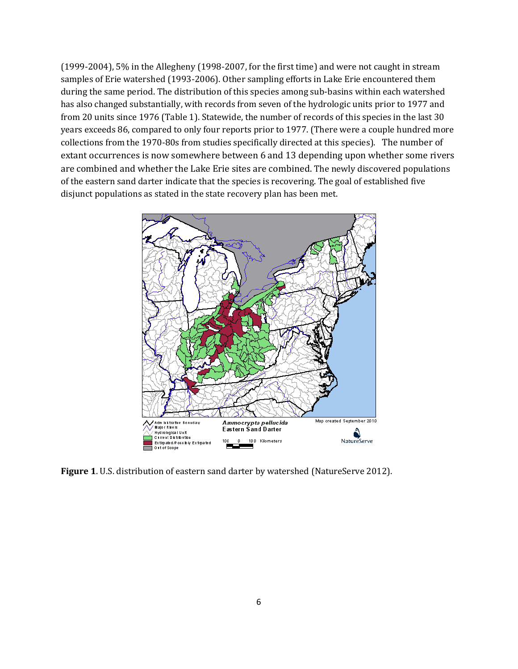(1999-2004), 5% in the Allegheny (1998-2007, for the first time) and were not caught in stream samples of Erie watershed (1993-2006). Other sampling efforts in Lake Erie encountered them during the same period. The distribution of this species among sub-basins within each watershed has also changed substantially, with records from seven of the hydrologic units prior to 1977 and from 20 units since 1976 (Table 1). Statewide, the number of records of this species in the last 30 years exceeds 86, compared to only four reports prior to 1977. (There were a couple hundred more collections from the 1970-80s from studies specifically directed at this species). The number of extant occurrences is now somewhere between 6 and 13 depending upon whether some rivers are combined and whether the Lake Erie sites are combined. The newly discovered populations of the eastern sand darter indicate that the species is recovering. The goal of established five disjunct populations as stated in the state recovery plan has been met.



**Figure 1**. U.S. distribution of eastern sand darter by watershed (NatureServe 2012).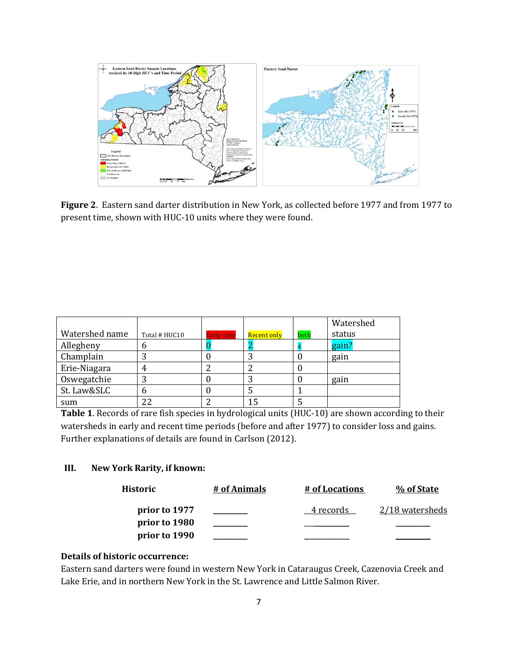

**Figure 2**. Eastern sand darter distribution in New York, as collected before 1977 and from 1977 to present time, shown with HUC-10 units where they were found.

|                |               |                   |             |      | Watershed |
|----------------|---------------|-------------------|-------------|------|-----------|
| Watershed name | Total # HUC10 | <b>Early only</b> | Recent only | both | status    |
| Allegheny      | U)            |                   |             |      | gain?     |
| Champlain      |               |                   |             |      | gain      |
| Erie-Niagara   |               |                   |             |      |           |
| Oswegatchie    |               |                   |             |      | gain      |
| St. Law&SLC    |               |                   |             |      |           |
| sum            |               |                   |             |      |           |

**Table 1**. Records of rare fish species in hydrological units (HUC-10) are shown according to their watersheds in early and recent time periods (before and after 1977) to consider loss and gains. Further explanations of details are found in Carlson (2012).

### **III. New York Rarity, if known:**

| Historic      | # of Animals | # of Locations | % of State      |
|---------------|--------------|----------------|-----------------|
| prior to 1977 |              | 4 records      | 2/18 watersheds |
| prior to 1980 |              |                |                 |
| prior to 1990 |              |                |                 |

## **Details of historic occurrence:**

Eastern sand darters were found in western New York in Cataraugus Creek, Cazenovia Creek and Lake Erie, and in northern New York in the St. Lawrence and Little Salmon River.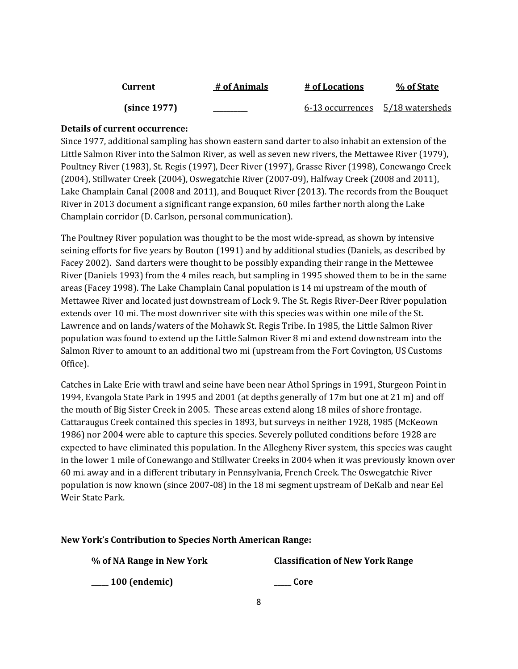| Current      | # of Animals | # of Locations                   | % of State |
|--------------|--------------|----------------------------------|------------|
| (since 1977) |              | 6-13 occurrences 5/18 watersheds |            |

## **Details of current occurrence:**

Since 1977, additional sampling has shown eastern sand darter to also inhabit an extension of the Little Salmon River into the Salmon River, as well as seven new rivers, the Mettawee River (1979), Poultney River (1983), St. Regis (1997), Deer River (1997), Grasse River (1998), Conewango Creek (2004), Stillwater Creek (2004), Oswegatchie River (2007-09), Halfway Creek (2008 and 2011), Lake Champlain Canal (2008 and 2011), and Bouquet River (2013). The records from the Bouquet River in 2013 document a significant range expansion, 60 miles farther north along the Lake Champlain corridor (D. Carlson, personal communication).

The Poultney River population was thought to be the most wide-spread, as shown by intensive seining efforts for five years by Bouton (1991) and by additional studies (Daniels, as described by Facey 2002). Sand darters were thought to be possibly expanding their range in the Mettewee River (Daniels 1993) from the 4 miles reach, but sampling in 1995 showed them to be in the same areas (Facey 1998). The Lake Champlain Canal population is 14 mi upstream of the mouth of Mettawee River and located just downstream of Lock 9. The St. Regis River-Deer River population extends over 10 mi. The most downriver site with this species was within one mile of the St. Lawrence and on lands/waters of the Mohawk St. Regis Tribe. In 1985, the Little Salmon River population was found to extend up the Little Salmon River 8 mi and extend downstream into the Salmon River to amount to an additional two mi (upstream from the Fort Covington, US Customs Office).

Catches in Lake Erie with trawl and seine have been near Athol Springs in 1991, Sturgeon Point in 1994, Evangola State Park in 1995 and 2001 (at depths generally of 17m but one at 21 m) and off the mouth of Big Sister Creek in 2005. These areas extend along 18 miles of shore frontage. Cattaraugus Creek contained this species in 1893, but surveys in neither 1928, 1985 (McKeown 1986) nor 2004 were able to capture this species. Severely polluted conditions before 1928 are expected to have eliminated this population. In the Allegheny River system, this species was caught in the lower 1 mile of Conewango and Stillwater Creeks in 2004 when it was previously known over 60 mi. away and in a different tributary in Pennsylvania, French Creek. The Oswegatchie River population is now known (since 2007-08) in the 18 mi segment upstream of DeKalb and near Eel Weir State Park.

### **New York's Contribution to Species North American Range:**

**% of NA Range in New York Classification of New York Range**

**\_\_\_\_\_ 100 (endemic) \_\_\_\_\_ Core**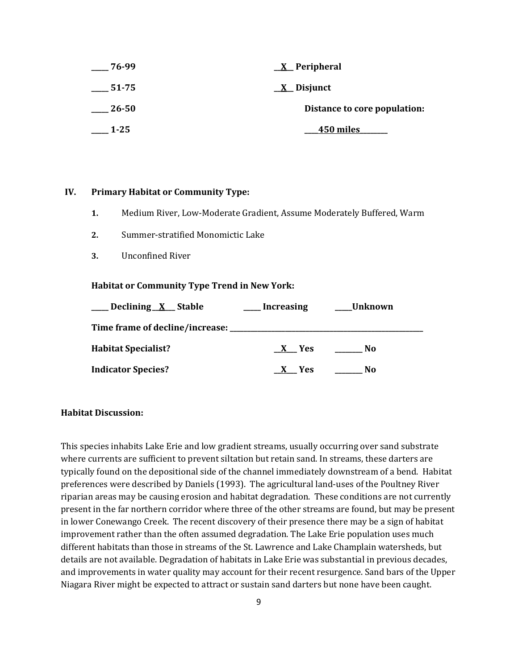| 76-99    | $\underline{X}$ Peripheral   |  |
|----------|------------------------------|--|
| $-51-75$ | $\underline{X}$ Disjunct     |  |
| - 26-50  | Distance to core population: |  |
| $1 - 25$ | 450 miles                    |  |

#### **IV. Primary Habitat or Community Type:**

- **1.** Medium River, Low-Moderate Gradient, Assume Moderately Buffered, Warm
- **2.** Summer-stratified Monomictic Lake
- **3.** Unconfined River

#### **Habitat or Community Type Trend in New York:**

| ___ Declining X_Stable     | <b>Increasing</b> | __Unknown      |  |
|----------------------------|-------------------|----------------|--|
|                            |                   |                |  |
| <b>Habitat Specialist?</b> | X Yes             | No.            |  |
| <b>Indicator Species?</b>  | Yes               | N <sub>0</sub> |  |

#### **Habitat Discussion:**

This species inhabits Lake Erie and low gradient streams, usually occurring over sand substrate where currents are sufficient to prevent siltation but retain sand. In streams, these darters are typically found on the depositional side of the channel immediately downstream of a bend. Habitat preferences were described by Daniels (1993). The agricultural land-uses of the Poultney River riparian areas may be causing erosion and habitat degradation. These conditions are not currently present in the far northern corridor where three of the other streams are found, but may be present in lower Conewango Creek. The recent discovery of their presence there may be a sign of habitat improvement rather than the often assumed degradation. The Lake Erie population uses much different habitats than those in streams of the St. Lawrence and Lake Champlain watersheds, but details are not available. Degradation of habitats in Lake Erie was substantial in previous decades, and improvements in water quality may account for their recent resurgence. Sand bars of the Upper Niagara River might be expected to attract or sustain sand darters but none have been caught.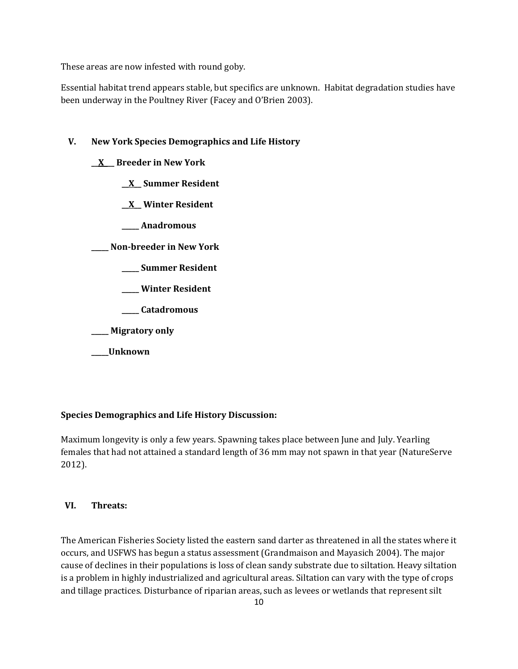These areas are now infested with round goby.

Essential habitat trend appears stable, but specifics are unknown. Habitat degradation studies have been underway in the Poultney River (Facey and O'Brien 2003).

## **V. New York Species Demographics and Life History**

## **\_\_X\_\_\_ Breeder in New York**

**\_\_X\_\_ Summer Resident**

**\_\_X\_\_ Winter Resident**

**\_\_\_\_\_ Anadromous**

**\_\_\_\_\_ Non-breeder in New York**

- **\_\_\_\_\_ Summer Resident**
- **\_\_\_\_\_ Winter Resident**
- **\_\_\_\_\_ Catadromous**
- **\_\_\_\_\_ Migratory only**
- **\_\_\_\_\_Unknown**

### **Species Demographics and Life History Discussion:**

Maximum longevity is only a few years. Spawning takes place between June and July. Yearling females that had not attained a standard length of 36 mm may not spawn in that year (NatureServe 2012).

### **VI. Threats:**

The American Fisheries Society listed the eastern sand darter as threatened in all the states where it occurs, and USFWS has begun a status assessment (Grandmaison and Mayasich 2004). The major cause of declines in their populations is loss of clean sandy substrate due to siltation. Heavy siltation is a problem in highly industrialized and agricultural areas. Siltation can vary with the type of crops and tillage practices. Disturbance of riparian areas, such as levees or wetlands that represent silt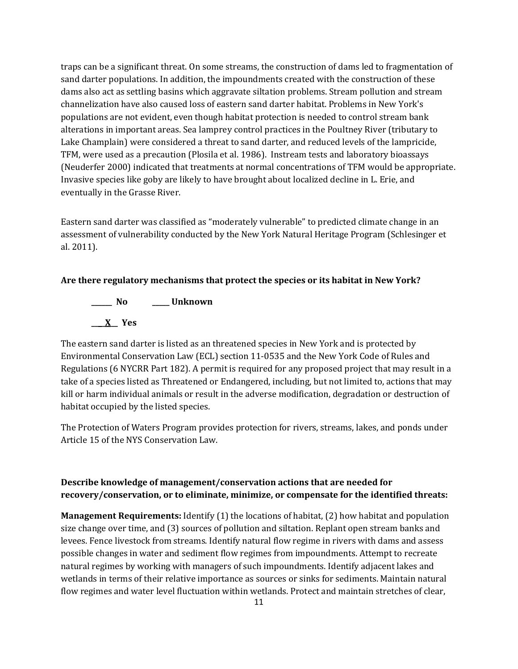traps can be a significant threat. On some streams, the construction of dams led to fragmentation of sand darter populations. In addition, the impoundments created with the construction of these dams also act as settling basins which aggravate siltation problems. Stream pollution and stream channelization have also caused loss of eastern sand darter habitat. Problems in New York's populations are not evident, even though habitat protection is needed to control stream bank alterations in important areas. Sea lamprey control practices in the Poultney River (tributary to Lake Champlain) were considered a threat to sand darter, and reduced levels of the lampricide, TFM, were used as a precaution (Plosila et al. 1986). Instream tests and laboratory bioassays (Neuderfer 2000) indicated that treatments at normal concentrations of TFM would be appropriate. Invasive species like goby are likely to have brought about localized decline in L. Erie, and eventually in the Grasse River.

Eastern sand darter was classified as "moderately vulnerable" to predicted climate change in an assessment of vulnerability conducted by the New York Natural Heritage Program (Schlesinger et al. 2011).

#### **Are there regulatory mechanisms that protect the species or its habitat in New York?**

**\_\_\_\_\_\_ No \_\_\_\_\_ Unknown \_\_\_\_X\_\_ Yes** 

The eastern sand darter is listed as an threatened species in New York and is protected by Environmental Conservation Law (ECL) section 11-0535 and the New York Code of Rules and Regulations (6 NYCRR Part 182). A permit is required for any proposed project that may result in a take of a species listed as Threatened or Endangered, including, but not limited to, actions that may kill or harm individual animals or result in the adverse modification, degradation or destruction of habitat occupied by the listed species.

The Protection of Waters Program provides protection for rivers, streams, lakes, and ponds under Article 15 of the NYS Conservation Law.

# **Describe knowledge of management/conservation actions that are needed for recovery/conservation, or to eliminate, minimize, or compensate for the identified threats:**

**Management Requirements:** Identify (1) the locations of habitat, (2) how habitat and population size change over time, and (3) sources of pollution and siltation. Replant open stream banks and levees. Fence livestock from streams. Identify natural flow regime in rivers with dams and assess possible changes in water and sediment flow regimes from impoundments. Attempt to recreate natural regimes by working with managers of such impoundments. Identify adjacent lakes and wetlands in terms of their relative importance as sources or sinks for sediments. Maintain natural flow regimes and water level fluctuation within wetlands. Protect and maintain stretches of clear,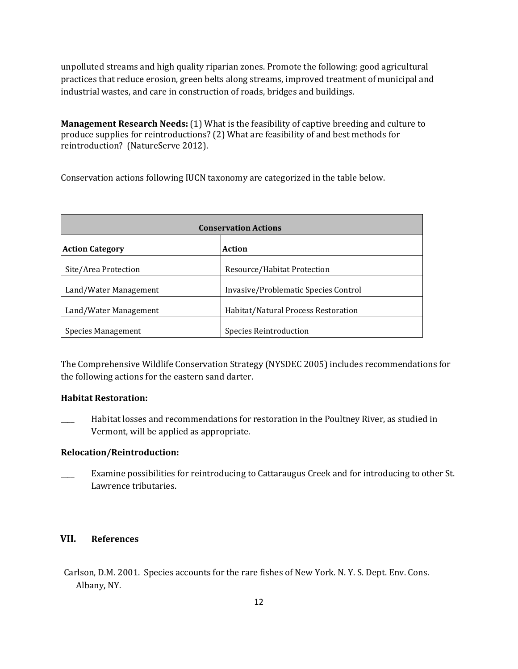unpolluted streams and high quality riparian zones. Promote the following: good agricultural practices that reduce erosion, green belts along streams, improved treatment of municipal and industrial wastes, and care in construction of roads, bridges and buildings.

**Management Research Needs:** (1) What is the feasibility of captive breeding and culture to produce supplies for reintroductions? (2) What are feasibility of and best methods for reintroduction? (NatureServe 2012).

Conservation actions following IUCN taxonomy are categorized in the table below.

| <b>Conservation Actions</b> |                                      |  |
|-----------------------------|--------------------------------------|--|
| <b>Action Category</b>      | <b>Action</b>                        |  |
| Site/Area Protection        | Resource/Habitat Protection          |  |
| Land/Water Management       | Invasive/Problematic Species Control |  |
| Land/Water Management       | Habitat/Natural Process Restoration  |  |
| <b>Species Management</b>   | <b>Species Reintroduction</b>        |  |

The Comprehensive Wildlife Conservation Strategy (NYSDEC 2005) includes recommendations for the following actions for the eastern sand darter.

#### **Habitat Restoration:**

\_\_\_\_ Habitat losses and recommendations for restoration in the Poultney River, as studied in Vermont, will be applied as appropriate.

#### **Relocation/Reintroduction:**

Examine possibilities for reintroducing to Cattaraugus Creek and for introducing to other St. Lawrence tributaries.

## **VII. References**

Carlson, D.M. 2001. Species accounts for the rare fishes of New York. N. Y. S. Dept. Env. Cons. Albany, NY.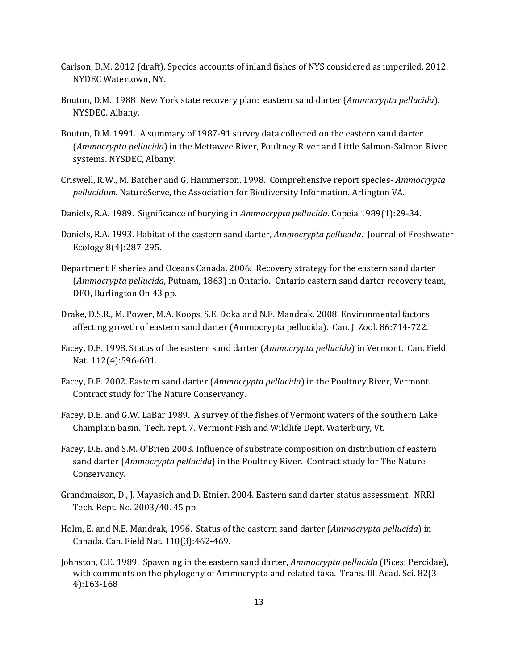- Carlson, D.M. 2012 (draft). Species accounts of inland fishes of NYS considered as imperiled, 2012. NYDEC Watertown, NY.
- Bouton, D.M. 1988 New York state recovery plan: eastern sand darter (*Ammocrypta pellucida*). NYSDEC. Albany.
- Bouton, D.M. 1991. A summary of 1987-91 survey data collected on the eastern sand darter (*Ammocrypta pellucida*) in the Mettawee River, Poultney River and Little Salmon-Salmon River systems. NYSDEC, Albany.
- Criswell, R.W., M. Batcher and G. Hammerson. 1998. Comprehensive report species- *Ammocrypta pellucidum*. NatureServe, the Association for Biodiversity Information. Arlington VA.
- Daniels, R.A. 1989. Significance of burying in *Ammocrypta pellucida.* Copeia 1989(1):29-34.
- Daniels, R.A. 1993. Habitat of the eastern sand darter, *Ammocrypta pellucida*. Journal of Freshwater Ecology 8(4):287-295.
- Department Fisheries and Oceans Canada. 2006. Recovery strategy for the eastern sand darter (*Ammocrypta pellucida*, Putnam, 1863) in Ontario. Ontario eastern sand darter recovery team, DFO, Burlington On 43 pp.
- Drake, D.S.R., M. Power, M.A. Koops, S.E. Doka and N.E. Mandrak. 2008. Environmental factors affecting growth of eastern sand darter (Ammocrypta pellucida). Can. J. Zool. 86:714-722.
- Facey, D.E. 1998. Status of the eastern sand darter (*Ammocrypta pellucida*) in Vermont. Can. Field Nat. 112(4):596-601.
- Facey, D.E. 2002. Eastern sand darter (*Ammocrypta pellucida*) in the Poultney River, Vermont. Contract study for The Nature Conservancy.
- Facey, D.E. and G.W. LaBar 1989. A survey of the fishes of Vermont waters of the southern Lake Champlain basin. Tech. rept. 7. Vermont Fish and Wildlife Dept. Waterbury, Vt.
- Facey, D.E. and S.M. O'Brien 2003. Influence of substrate composition on distribution of eastern sand darter (*Ammocrypta pellucida*) in the Poultney River. Contract study for The Nature Conservancy.
- Grandmaison, D., J. Mayasich and D. Etnier. 2004. Eastern sand darter status assessment. NRRI Tech. Rept. No. 2003/40. 45 pp
- Holm, E. and N.E. Mandrak, 1996. Status of the eastern sand darter (*Ammocrypta pellucida*) in Canada. Can. Field Nat. 110(3):462-469.
- Johnston, C.E. 1989. Spawning in the eastern sand darter, *Ammocrypta pellucida* (Pices: Percidae), with comments on the phylogeny of Ammocrypta and related taxa. Trans. Ill. Acad. Sci. 82(3- 4):163-168